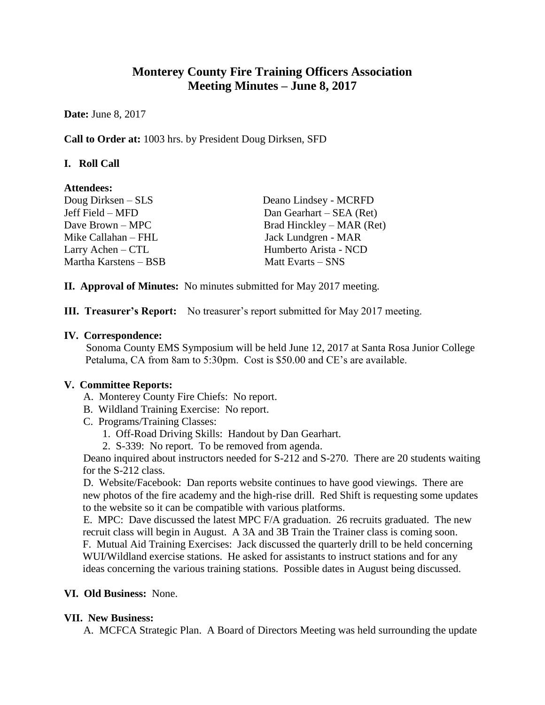# **Monterey County Fire Training Officers Association Meeting Minutes – June 8, 2017**

**Date:** June 8, 2017

**Call to Order at:** 1003 hrs. by President Doug Dirksen, SFD

# **I. Roll Call**

#### **Attendees:**

| Deano Lindsey - MCRFD     |
|---------------------------|
| Dan Gearhart – SEA (Ret)  |
| Brad Hinckley – MAR (Ret) |
| Jack Lundgren - MAR       |
| Humberto Arista - NCD     |
| Matt Evarts – SNS         |
|                           |

**II. Approval of Minutes:** No minutes submitted for May 2017 meeting.

**III. Treasurer's Report:** No treasurer's report submitted for May 2017 meeting.

#### **IV. Correspondence:**

Sonoma County EMS Symposium will be held June 12, 2017 at Santa Rosa Junior College Petaluma, CA from 8am to 5:30pm. Cost is \$50.00 and CE's are available.

# **V. Committee Reports:**

- A. Monterey County Fire Chiefs: No report.
- B. Wildland Training Exercise: No report.
- C. Programs/Training Classes:
	- 1. Off-Road Driving Skills: Handout by Dan Gearhart.
	- 2. S-339: No report. To be removed from agenda.

Deano inquired about instructors needed for S-212 and S-270. There are 20 students waiting for the S-212 class.

D. Website/Facebook: Dan reports website continues to have good viewings. There are new photos of the fire academy and the high-rise drill. Red Shift is requesting some updates to the website so it can be compatible with various platforms.

E. MPC: Dave discussed the latest MPC F/A graduation. 26 recruits graduated. The new recruit class will begin in August. A 3A and 3B Train the Trainer class is coming soon. F. Mutual Aid Training Exercises: Jack discussed the quarterly drill to be held concerning WUI/Wildland exercise stations. He asked for assistants to instruct stations and for any ideas concerning the various training stations. Possible dates in August being discussed.

# **VI. Old Business:** None.

#### **VII. New Business:**

A. MCFCA Strategic Plan. A Board of Directors Meeting was held surrounding the update